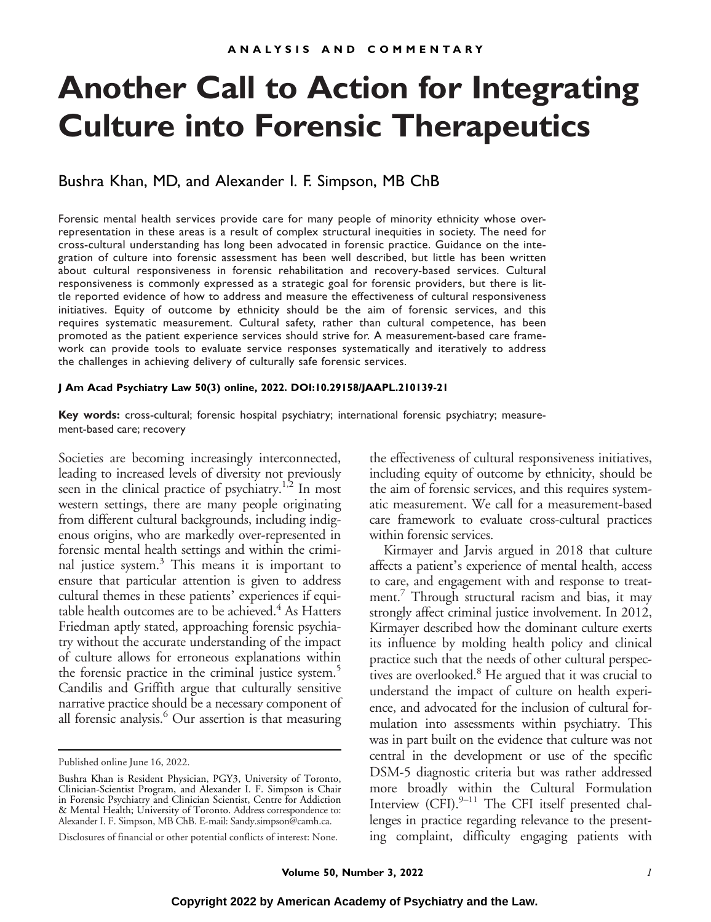# **Another Call to Action for Integrating Culture into Forensic Therapeutics**

#### Bushra Khan, MD, and Alexander I. F. Simpson, MB ChB

Forensic mental health services provide care for many people of minority ethnicity whose overrepresentation in these areas is a result of complex structural inequities in society. The need for cross-cultural understanding has long been advocated in forensic practice. Guidance on the integration of culture into forensic assessment has been well described, but little has been written about cultural responsiveness in forensic rehabilitation and recovery-based services. Cultural responsiveness is commonly expressed as a strategic goal for forensic providers, but there is little reported evidence of how to address and measure the effectiveness of cultural responsiveness initiatives. Equity of outcome by ethnicity should be the aim of forensic services, and this requires systematic measurement. Cultural safety, rather than cultural competence, has been promoted as the patient experience services should strive for. A measurement-based care framework can provide tools to evaluate service responses systematically and iteratively to address the challenges in achieving delivery of culturally safe forensic services.

#### **J Am Acad Psychiatry Law 50(3) online, 2022. DOI:10.29158/JAAPL.210139-21**

**Key words:** cross-cultural; forensic hospital psychiatry; international forensic psychiatry; measurement-based care; recovery

Societies are becoming increasingly interconnected, leading to increased levels of diversity not previously seen in the clinical practice of psychiatry.<sup>1,2</sup> In most western settings, there are many people originating from different cultural backgrounds, including indigenous origins, who are markedly over-represented in forensic mental health settings and within the criminal justice system. $3$  This means it is important to ensure that particular attention is given to address cultural themes in these patients' experiences if equitable health outcomes are to be achieved. $4$  As Hatters Friedman aptly stated, approaching forensic psychiatry without the accurate understanding of the impact of culture allows for erroneous explanations within the forensic practice in the criminal justice system.<sup>5</sup> Candilis and Griffith argue that culturally sensitive narrative practice should be a necessary component of all forensic analysis.<sup>6</sup> Our assertion is that measuring the effectiveness of cultural responsiveness initiatives, including equity of outcome by ethnicity, should be the aim of forensic services, and this requires systematic measurement. We call for a measurement-based care framework to evaluate cross-cultural practices within forensic services.

Kirmayer and Jarvis argued in 2018 that culture affects a patient's experience of mental health, access to care, and engagement with and response to treatment.<sup>7</sup> Through structural racism and bias, it may strongly affect criminal justice involvement. In 2012, Kirmayer described how the dominant culture exerts its influence by molding health policy and clinical practice such that the needs of other cultural perspectives are overlooked.<sup>8</sup> He argued that it was crucial to understand the impact of culture on health experience, and advocated for the inclusion of cultural formulation into assessments within psychiatry. This was in part built on the evidence that culture was not central in the development or use of the specific DSM-5 diagnostic criteria but was rather addressed more broadly within the Cultural Formulation Interview  $(CFI)_{2}^{9-11}$  The CFI itself presented challenges in practice regarding relevance to the presenting complaint, difficulty engaging patients with

Published online June 16, 2022.

Bushra Khan is Resident Physician, PGY3, University of Toronto, Clinician-Scientist Program, and Alexander I. F. Simpson is Chair in Forensic Psychiatry and Clinician Scientist, Centre for Addiction & Mental Health; University of Toronto. Address correspondence to: Alexander I. F. Simpson, MB ChB. E-mail: [Sandy.simpson@camh.ca.](mailto:Sandy.simpson@camh.ca)

Disclosures of financial or other potential conflicts of interest: None.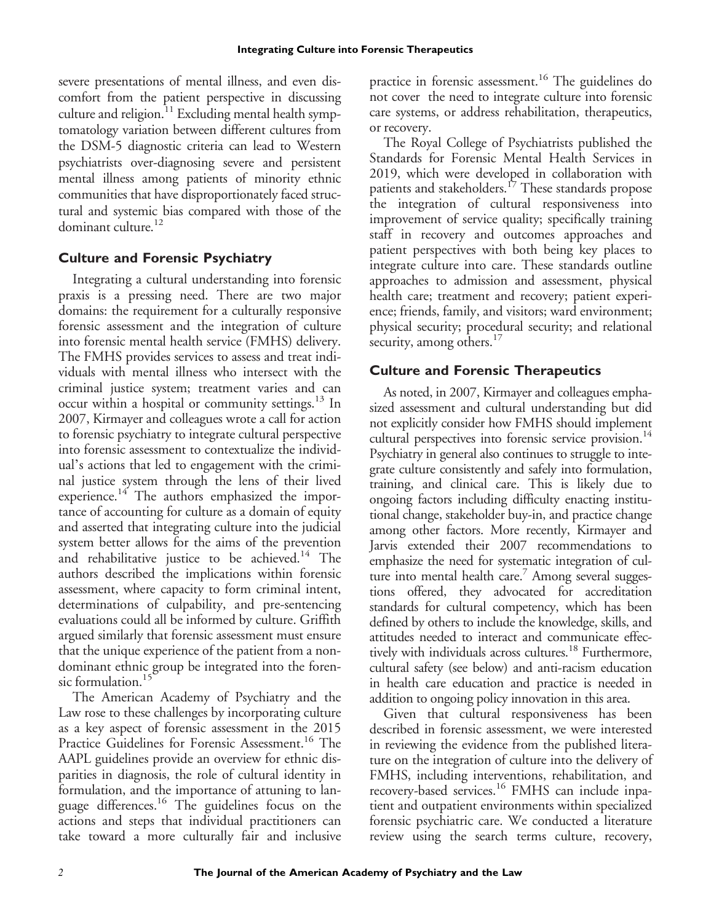severe presentations of mental illness, and even discomfort from the patient perspective in discussing culture and religion. $11$  Excluding mental health symptomatology variation between different cultures from the DSM-5 diagnostic criteria can lead to Western psychiatrists over-diagnosing severe and persistent mental illness among patients of minority ethnic communities that have disproportionately faced structural and systemic bias compared with those of the dominant culture.<sup>12</sup>

## **Culture and Forensic Psychiatry**

Integrating a cultural understanding into forensic praxis is a pressing need. There are two major domains: the requirement for a culturally responsive forensic assessment and the integration of culture into forensic mental health service (FMHS) delivery. The FMHS provides services to assess and treat individuals with mental illness who intersect with the criminal justice system; treatment varies and can occur within a hospital or community settings. $^{13}$  In 2007, Kirmayer and colleagues wrote a call for action to forensic psychiatry to integrate cultural perspective into forensic assessment to contextualize the individual's actions that led to engagement with the criminal justice system through the lens of their lived experience.<sup>14</sup> The authors emphasized the importance of accounting for culture as a domain of equity and asserted that integrating culture into the judicial system better allows for the aims of the prevention and rehabilitative justice to be achieved.<sup>14</sup> The authors described the implications within forensic assessment, where capacity to form criminal intent, determinations of culpability, and pre-sentencing evaluations could all be informed by culture. Griffith argued similarly that forensic assessment must ensure that the unique experience of the patient from a nondominant ethnic group be integrated into the forensic formulation.<sup>15</sup>

The American Academy of Psychiatry and the Law rose to these challenges by incorporating culture as a key aspect of forensic assessment in the 2015 Practice Guidelines for Forensic Assessment.<sup>16</sup> The AAPL guidelines provide an overview for ethnic disparities in diagnosis, the role of cultural identity in formulation, and the importance of attuning to language differences.<sup>16</sup> The guidelines focus on the actions and steps that individual practitioners can take toward a more culturally fair and inclusive practice in forensic assessment.<sup>16</sup> The guidelines do not cover the need to integrate culture into forensic care systems, or address rehabilitation, therapeutics, or recovery.

The Royal College of Psychiatrists published the Standards for Forensic Mental Health Services in 2019, which were developed in collaboration with patients and stakeholders.<sup>17</sup> These standards propose the integration of cultural responsiveness into improvement of service quality; specifically training staff in recovery and outcomes approaches and patient perspectives with both being key places to integrate culture into care. These standards outline approaches to admission and assessment, physical health care; treatment and recovery; patient experience; friends, family, and visitors; ward environment; physical security; procedural security; and relational security, among others. $17$ 

## **Culture and Forensic Therapeutics**

As noted, in 2007, Kirmayer and colleagues emphasized assessment and cultural understanding but did not explicitly consider how FMHS should implement cultural perspectives into forensic service provision.<sup>14</sup> Psychiatry in general also continues to struggle to integrate culture consistently and safely into formulation, training, and clinical care. This is likely due to ongoing factors including difficulty enacting institutional change, stakeholder buy-in, and practice change among other factors. More recently, Kirmayer and Jarvis extended their 2007 recommendations to emphasize the need for systematic integration of culture into mental health care.<sup>7</sup> Among several suggestions offered, they advocated for accreditation standards for cultural competency, which has been defined by others to include the knowledge, skills, and attitudes needed to interact and communicate effectively with individuals across cultures.<sup>18</sup> Furthermore, cultural safety (see below) and anti-racism education in health care education and practice is needed in addition to ongoing policy innovation in this area.

Given that cultural responsiveness has been described in forensic assessment, we were interested in reviewing the evidence from the published literature on the integration of culture into the delivery of FMHS, including interventions, rehabilitation, and recovery-based services.<sup>16</sup> FMHS can include inpatient and outpatient environments within specialized forensic psychiatric care. We conducted a literature review using the search terms culture, recovery,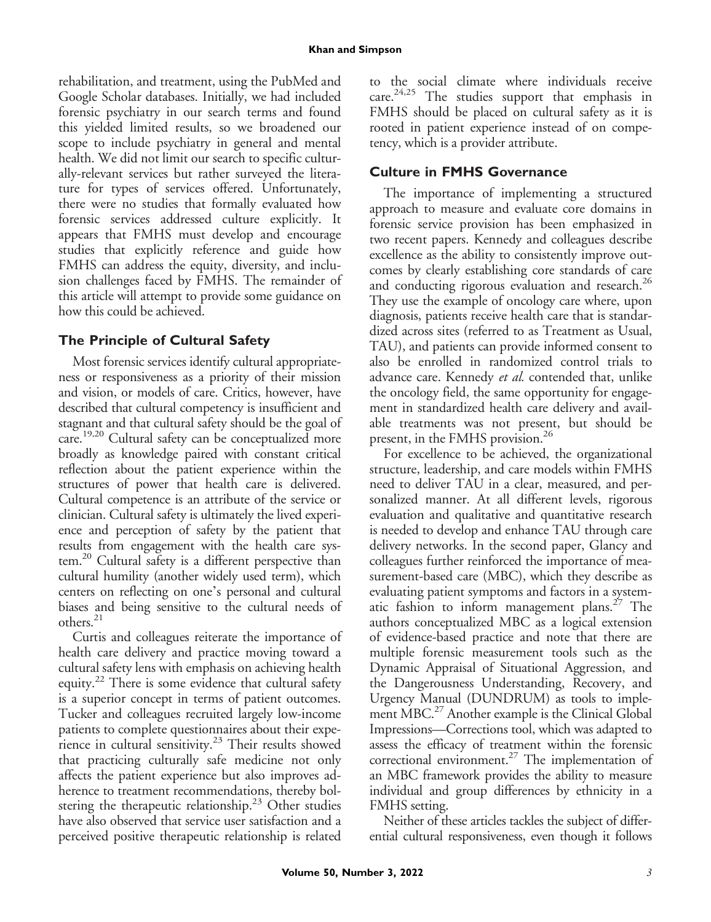rehabilitation, and treatment, using the PubMed and Google Scholar databases. Initially, we had included forensic psychiatry in our search terms and found this yielded limited results, so we broadened our scope to include psychiatry in general and mental health. We did not limit our search to specific culturally-relevant services but rather surveyed the literature for types of services offered. Unfortunately, there were no studies that formally evaluated how forensic services addressed culture explicitly. It appears that FMHS must develop and encourage studies that explicitly reference and guide how FMHS can address the equity, diversity, and inclusion challenges faced by FMHS. The remainder of this article will attempt to provide some guidance on how this could be achieved.

## **The Principle of Cultural Safety**

Most forensic services identify cultural appropriateness or responsiveness as a priority of their mission and vision, or models of care. Critics, however, have described that cultural competency is insufficient and stagnant and that cultural safety should be the goal of care.<sup>19,20</sup> Cultural safety can be conceptualized more broadly as knowledge paired with constant critical reflection about the patient experience within the structures of power that health care is delivered. Cultural competence is an attribute of the service or clinician. Cultural safety is ultimately the lived experience and perception of safety by the patient that results from engagement with the health care system.<sup>20</sup> Cultural safety is a different perspective than cultural humility (another widely used term), which centers on reflecting on one's personal and cultural biases and being sensitive to the cultural needs of others.<sup>21</sup>

Curtis and colleagues reiterate the importance of health care delivery and practice moving toward a cultural safety lens with emphasis on achieving health equity.<sup>22</sup> There is some evidence that cultural safety is a superior concept in terms of patient outcomes. Tucker and colleagues recruited largely low-income patients to complete questionnaires about their experience in cultural sensitivity.<sup>23</sup> Their results showed that practicing culturally safe medicine not only affects the patient experience but also improves adherence to treatment recommendations, thereby bolstering the therapeutic relationship.<sup>23</sup> Other studies have also observed that service user satisfaction and a perceived positive therapeutic relationship is related

to the social climate where individuals receive care. $24,25$  The studies support that emphasis in FMHS should be placed on cultural safety as it is rooted in patient experience instead of on competency, which is a provider attribute.

#### **Culture in FMHS Governance**

The importance of implementing a structured approach to measure and evaluate core domains in forensic service provision has been emphasized in two recent papers. Kennedy and colleagues describe excellence as the ability to consistently improve outcomes by clearly establishing core standards of care and conducting rigorous evaluation and research.<sup>26</sup> They use the example of oncology care where, upon diagnosis, patients receive health care that is standardized across sites (referred to as Treatment as Usual, TAU), and patients can provide informed consent to also be enrolled in randomized control trials to advance care. Kennedy et al. contended that, unlike the oncology field, the same opportunity for engagement in standardized health care delivery and available treatments was not present, but should be present, in the FMHS provision.<sup>26</sup>

For excellence to be achieved, the organizational structure, leadership, and care models within FMHS need to deliver TAU in a clear, measured, and personalized manner. At all different levels, rigorous evaluation and qualitative and quantitative research is needed to develop and enhance TAU through care delivery networks. In the second paper, Glancy and colleagues further reinforced the importance of measurement-based care (MBC), which they describe as evaluating patient symptoms and factors in a systematic fashion to inform management plans.<sup>27</sup> The authors conceptualized MBC as a logical extension of evidence-based practice and note that there are multiple forensic measurement tools such as the Dynamic Appraisal of Situational Aggression, and the Dangerousness Understanding, Recovery, and Urgency Manual (DUNDRUM) as tools to implement MBC.<sup>27</sup> Another example is the Clinical Global Impressions—Corrections tool, which was adapted to assess the efficacy of treatment within the forensic correctional environment.<sup>27</sup> The implementation of an MBC framework provides the ability to measure individual and group differences by ethnicity in a FMHS setting.

Neither of these articles tackles the subject of differential cultural responsiveness, even though it follows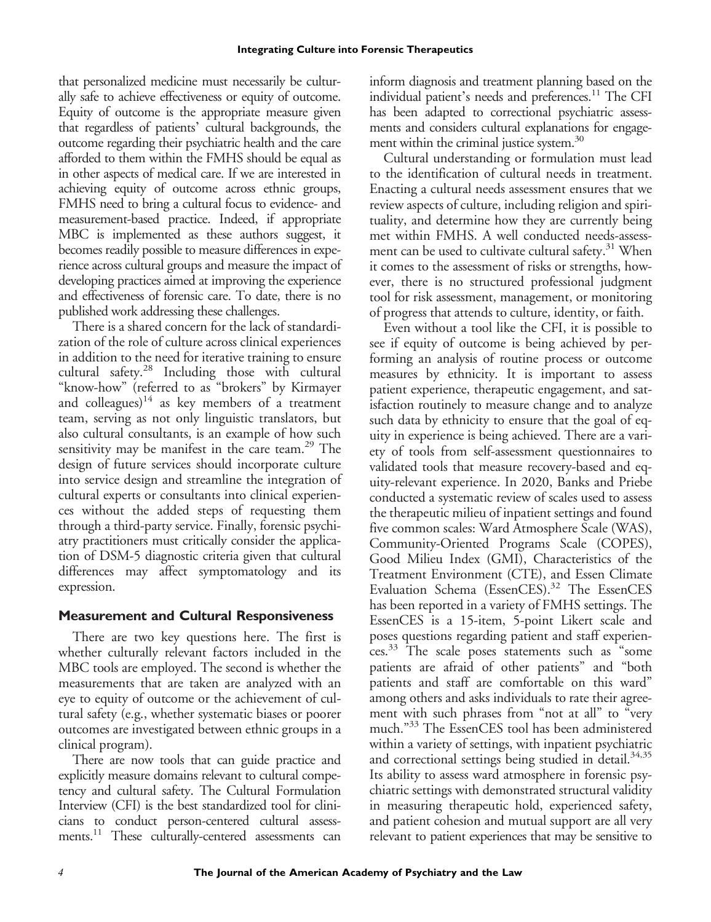that personalized medicine must necessarily be culturally safe to achieve effectiveness or equity of outcome. Equity of outcome is the appropriate measure given that regardless of patients' cultural backgrounds, the outcome regarding their psychiatric health and the care afforded to them within the FMHS should be equal as in other aspects of medical care. If we are interested in achieving equity of outcome across ethnic groups, FMHS need to bring a cultural focus to evidence- and measurement-based practice. Indeed, if appropriate MBC is implemented as these authors suggest, it becomes readily possible to measure differences in experience across cultural groups and measure the impact of developing practices aimed at improving the experience and effectiveness of forensic care. To date, there is no published work addressing these challenges.

There is a shared concern for the lack of standardization of the role of culture across clinical experiences in addition to the need for iterative training to ensure cultural safety.28 Including those with cultural "know-how" (referred to as "brokers" by Kirmayer and colleagues) $14$  as key members of a treatment team, serving as not only linguistic translators, but also cultural consultants, is an example of how such sensitivity may be manifest in the care team.<sup>29</sup> The design of future services should incorporate culture into service design and streamline the integration of cultural experts or consultants into clinical experiences without the added steps of requesting them through a third-party service. Finally, forensic psychiatry practitioners must critically consider the application of DSM-5 diagnostic criteria given that cultural differences may affect symptomatology and its expression.

#### **Measurement and Cultural Responsiveness**

There are two key questions here. The first is whether culturally relevant factors included in the MBC tools are employed. The second is whether the measurements that are taken are analyzed with an eye to equity of outcome or the achievement of cultural safety (e.g., whether systematic biases or poorer outcomes are investigated between ethnic groups in a clinical program).

There are now tools that can guide practice and explicitly measure domains relevant to cultural competency and cultural safety. The Cultural Formulation Interview (CFI) is the best standardized tool for clinicians to conduct person-centered cultural assessments.<sup>11</sup> These culturally-centered assessments can

inform diagnosis and treatment planning based on the individual patient's needs and preferences.<sup>11</sup> The CFI has been adapted to correctional psychiatric assessments and considers cultural explanations for engagement within the criminal justice system.<sup>30</sup>

Cultural understanding or formulation must lead to the identification of cultural needs in treatment. Enacting a cultural needs assessment ensures that we review aspects of culture, including religion and spirituality, and determine how they are currently being met within FMHS. A well conducted needs-assessment can be used to cultivate cultural safety.<sup>31</sup> When it comes to the assessment of risks or strengths, however, there is no structured professional judgment tool for risk assessment, management, or monitoring of progress that attends to culture, identity, or faith.

Even without a tool like the CFI, it is possible to see if equity of outcome is being achieved by performing an analysis of routine process or outcome measures by ethnicity. It is important to assess patient experience, therapeutic engagement, and satisfaction routinely to measure change and to analyze such data by ethnicity to ensure that the goal of equity in experience is being achieved. There are a variety of tools from self-assessment questionnaires to validated tools that measure recovery-based and equity-relevant experience. In 2020, Banks and Priebe conducted a systematic review of scales used to assess the therapeutic milieu of inpatient settings and found five common scales: Ward Atmosphere Scale (WAS), Community-Oriented Programs Scale (COPES), Good Milieu Index (GMI), Characteristics of the Treatment Environment (CTE), and Essen Climate Evaluation Schema (EssenCES).<sup>32</sup> The EssenCES has been reported in a variety of FMHS settings. The EssenCES is a 15-item, 5-point Likert scale and poses questions regarding patient and staff experiences.33 The scale poses statements such as "some patients are afraid of other patients" and "both patients and staff are comfortable on this ward" among others and asks individuals to rate their agreement with such phrases from "not at all" to "very much." <sup>33</sup> The EssenCES tool has been administered within a variety of settings, with inpatient psychiatric and correctional settings being studied in detail.<sup>34,35</sup> Its ability to assess ward atmosphere in forensic psychiatric settings with demonstrated structural validity in measuring therapeutic hold, experienced safety, and patient cohesion and mutual support are all very relevant to patient experiences that may be sensitive to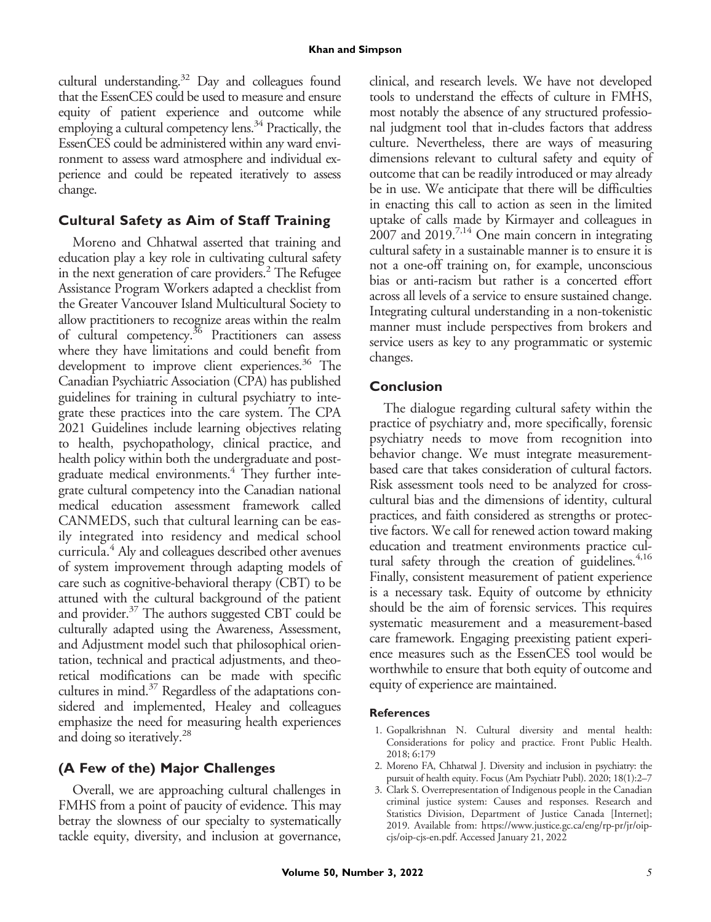cultural understanding.<sup>32</sup> Day and colleagues found that the EssenCES could be used to measure and ensure equity of patient experience and outcome while employing a cultural competency lens.<sup>34</sup> Practically, the EssenCES could be administered within any ward environment to assess ward atmosphere and individual experience and could be repeated iteratively to assess change.

## **Cultural Safety as Aim of Staff Training**

Moreno and Chhatwal asserted that training and education play a key role in cultivating cultural safety in the next generation of care providers.<sup>2</sup> The Refugee Assistance Program Workers adapted a checklist from the Greater Vancouver Island Multicultural Society to allow practitioners to recognize areas within the realm of cultural competency.<sup>36</sup> Practitioners can assess where they have limitations and could benefit from development to improve client experiences.<sup>36</sup> The Canadian Psychiatric Association (CPA) has published guidelines for training in cultural psychiatry to integrate these practices into the care system. The CPA 2021 Guidelines include learning objectives relating to health, psychopathology, clinical practice, and health policy within both the undergraduate and postgraduate medical environments.<sup>4</sup> They further integrate cultural competency into the Canadian national medical education assessment framework called CANMEDS, such that cultural learning can be easily integrated into residency and medical school curricula.<sup>4</sup> Aly and colleagues described other avenues of system improvement through adapting models of care such as cognitive-behavioral therapy (CBT) to be attuned with the cultural background of the patient and provider.<sup>37</sup> The authors suggested CBT could be culturally adapted using the Awareness, Assessment, and Adjustment model such that philosophical orientation, technical and practical adjustments, and theoretical modifications can be made with specific cultures in mind. $37$  Regardless of the adaptations considered and implemented, Healey and colleagues emphasize the need for measuring health experiences and doing so iteratively.<sup>28</sup>

# **(A Few of the) Major Challenges**

Overall, we are approaching cultural challenges in FMHS from a point of paucity of evidence. This may betray the slowness of our specialty to systematically tackle equity, diversity, and inclusion at governance, clinical, and research levels. We have not developed tools to understand the effects of culture in FMHS, most notably the absence of any structured professional judgment tool that in-cludes factors that address culture. Nevertheless, there are ways of measuring dimensions relevant to cultural safety and equity of outcome that can be readily introduced or may already be in use. We anticipate that there will be difficulties in enacting this call to action as seen in the limited uptake of calls made by Kirmayer and colleagues in  $2007$  and  $2019$ <sup>7,14</sup> One main concern in integrating cultural safety in a sustainable manner is to ensure it is not a one-off training on, for example, unconscious bias or anti-racism but rather is a concerted effort across all levels of a service to ensure sustained change. Integrating cultural understanding in a non-tokenistic manner must include perspectives from brokers and service users as key to any programmatic or systemic changes.

## **Conclusion**

The dialogue regarding cultural safety within the practice of psychiatry and, more specifically, forensic psychiatry needs to move from recognition into behavior change. We must integrate measurementbased care that takes consideration of cultural factors. Risk assessment tools need to be analyzed for crosscultural bias and the dimensions of identity, cultural practices, and faith considered as strengths or protective factors. We call for renewed action toward making education and treatment environments practice cultural safety through the creation of guidelines.<sup>4,16</sup> Finally, consistent measurement of patient experience is a necessary task. Equity of outcome by ethnicity should be the aim of forensic services. This requires systematic measurement and a measurement-based care framework. Engaging preexisting patient experience measures such as the EssenCES tool would be worthwhile to ensure that both equity of outcome and equity of experience are maintained.

#### **References**

- 1. Gopalkrishnan N. Cultural diversity and mental health: Considerations for policy and practice. Front Public Health. 2018; 6:179
- 2. Moreno FA, Chhatwal J. Diversity and inclusion in psychiatry: the pursuit of health equity. Focus (Am Psychiatr Publ). 2020; 18(1):2–7
- 3. Clark S. Overrepresentation of Indigenous people in the Canadian criminal justice system: Causes and responses. Research and Statistics Division, Department of Justice Canada [Internet]; 2019. Available from: [https://www.justice.gc.ca/eng/rp-pr/jr/oip](https://www.justice.gc.ca/eng/rp-pr/jr/oip-cjs/oip-cjs-en.pdf)[cjs/oip-cjs-en.pdf](https://www.justice.gc.ca/eng/rp-pr/jr/oip-cjs/oip-cjs-en.pdf). Accessed January 21, 2022